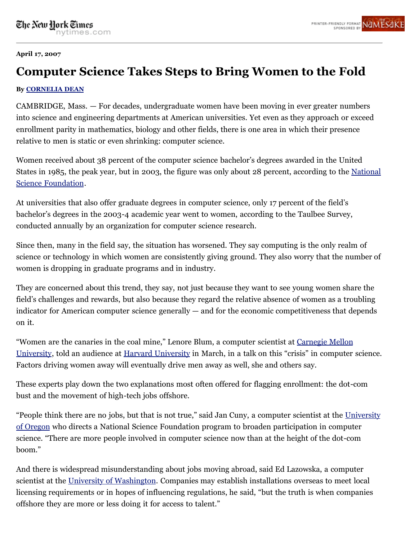## **April 17, 2007**

## **Computer Science Takes Steps to Bring Women to the Fold**

## **By CORNELIA DEAN**

CAMBRIDGE, Mass. — For decades, undergraduate women have been moving in ever greater numbers into science and engineering departments at American universities. Yet even as they approach or exceed enrollment parity in mathematics, biology and other fields, there is one area in which their presence relative to men is static or even shrinking: computer science.

Women received about 38 percent of the computer science bachelor's degrees awarded in the United States in 1985, the peak year, but in 2003, the figure was only about 28 percent, according to the National Science Foundation.

At universities that also offer graduate degrees in computer science, only 17 percent of the field's bachelor's degrees in the 2003-4 academic year went to women, according to the Taulbee Survey, conducted annually by an organization for computer science research.

Since then, many in the field say, the situation has worsened. They say computing is the only realm of science or technology in which women are consistently giving ground. They also worry that the number of women is dropping in graduate programs and in industry.

They are concerned about this trend, they say, not just because they want to see young women share the field's challenges and rewards, but also because they regard the relative absence of women as a troubling indicator for American computer science generally — and for the economic competitiveness that depends on it.

"Women are the canaries in the coal mine," Lenore Blum, a computer scientist at Carnegie Mellon University, told an audience at Harvard University in March, in a talk on this "crisis" in computer science. Factors driving women away will eventually drive men away as well, she and others say.

These experts play down the two explanations most often offered for flagging enrollment: the dot-com bust and the movement of high-tech jobs offshore.

"People think there are no jobs, but that is not true," said Jan Cuny, a computer scientist at the University of Oregon who directs a National Science Foundation program to broaden participation in computer science. "There are more people involved in computer science now than at the height of the dot-com boom."

And there is widespread misunderstanding about jobs moving abroad, said Ed Lazowska, a computer scientist at the University of Washington. Companies may establish installations overseas to meet local licensing requirements or in hopes of influencing regulations, he said, "but the truth is when companies offshore they are more or less doing it for access to talent."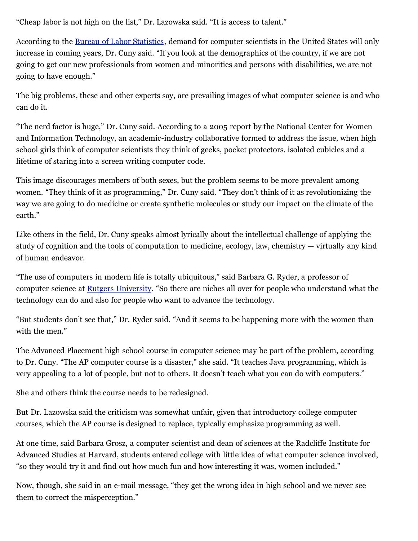"Cheap labor is not high on the list," Dr. Lazowska said. "It is access to talent."

According to the Bureau of Labor Statistics, demand for computer scientists in the United States will only increase in coming years, Dr. Cuny said. "If you look at the demographics of the country, if we are not going to get our new professionals from women and minorities and persons with disabilities, we are not going to have enough."

The big problems, these and other experts say, are prevailing images of what computer science is and who can do it.

"The nerd factor is huge," Dr. Cuny said. According to a 2005 report by the National Center for Women and Information Technology, an academic-industry collaborative formed to address the issue, when high school girls think of computer scientists they think of geeks, pocket protectors, isolated cubicles and a lifetime of staring into a screen writing computer code.

This image discourages members of both sexes, but the problem seems to be more prevalent among women. "They think of it as programming," Dr. Cuny said. "They don't think of it as revolutionizing the way we are going to do medicine or create synthetic molecules or study our impact on the climate of the earth."

Like others in the field, Dr. Cuny speaks almost lyrically about the intellectual challenge of applying the study of cognition and the tools of computation to medicine, ecology, law, chemistry — virtually any kind of human endeavor.

"The use of computers in modern life is totally ubiquitous," said Barbara G. Ryder, a professor of computer science at Rutgers University. "So there are niches all over for people who understand what the technology can do and also for people who want to advance the technology.

"But students don't see that," Dr. Ryder said. "And it seems to be happening more with the women than with the men."

The Advanced Placement high school course in computer science may be part of the problem, according to Dr. Cuny. "The AP computer course is a disaster," she said. "It teaches Java programming, which is very appealing to a lot of people, but not to others. It doesn't teach what you can do with computers."

She and others think the course needs to be redesigned.

But Dr. Lazowska said the criticism was somewhat unfair, given that introductory college computer courses, which the AP course is designed to replace, typically emphasize programming as well.

At one time, said Barbara Grosz, a computer scientist and dean of sciences at the Radcliffe Institute for Advanced Studies at Harvard, students entered college with little idea of what computer science involved, "so they would try it and find out how much fun and how interesting it was, women included."

Now, though, she said in an e-mail message, "they get the wrong idea in high school and we never see them to correct the misperception."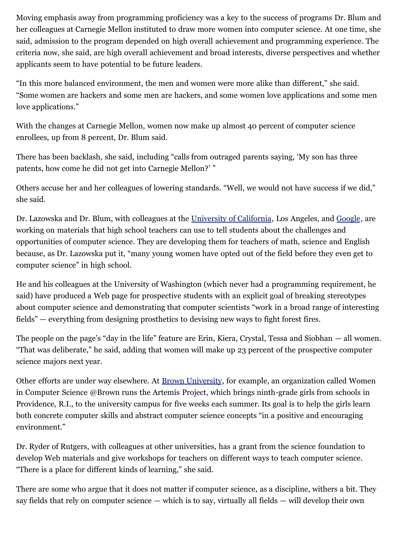Moving emphasis away from programming proficiency was a key to the success of programs Dr. Blum and her colleagues at Carnegie Mellon instituted to draw more women into computer science. At one time, she said, admission to the program depended on high overall achievement and programming experience. The criteria now, she said, are high overall achievement and broad interests, diverse perspectives and whether applicants seem to have potential to be future leaders.

"In this more balanced environment, the men and women were more alike than different," she said. "Some women are hackers and some men are hackers, and some women love applications and some men love applications."

With the changes at Carnegie Mellon, women now make up almost 40 percent of computer science enrollees, up from 8 percent, Dr. Blum said.

There has been backlash, she said, including "calls from outraged parents saying, 'My son has three patents, how come he did not get into Carnegie Mellon?' "

Others accuse her and her colleagues of lowering standards. "Well, we would not have success if we did," she said.

Dr. Lazowska and Dr. Blum, with colleagues at the University of California, Los Angeles, and Google, are working on materials that high school teachers can use to tell students about the challenges and opportunities of computer science. They are developing them for teachers of math, science and English because, as Dr. Lazowska put it, "many young women have opted out of the field before they even get to computer science" in high school.

He and his colleagues at the University of Washington (which never had a programming requirement, he said) have produced a Web page for prospective students with an explicit goal of breaking stereotypes about computer science and demonstrating that computer scientists "work in a broad range of interesting fields" — everything from designing prosthetics to devising new ways to fight forest fires.

The people on the page's "day in the life" feature are Erin, Kiera, Crystal, Tessa and Siobhan — all women. "That was deliberate," he said, adding that women will make up 23 percent of the prospective computer science majors next year.

Other efforts are under way elsewhere. At Brown University, for example, an organization called Women in Computer Science @Brown runs the Artemis Project, which brings ninth-grade girls from schools in Providence, R.I., to the university campus for five weeks each summer. Its goal is to help the girls learn both concrete computer skills and abstract computer science concepts "in a positive and encouraging environment."

Dr. Ryder of Rutgers, with colleagues at other universities, has a grant from the science foundation to develop Web materials and give workshops for teachers on different ways to teach computer science. "There is a place for different kinds of learning," she said.

There are some who argue that it does not matter if computer science, as a discipline, withers a bit. They say fields that rely on computer science — which is to say, virtually all fields — will develop their own